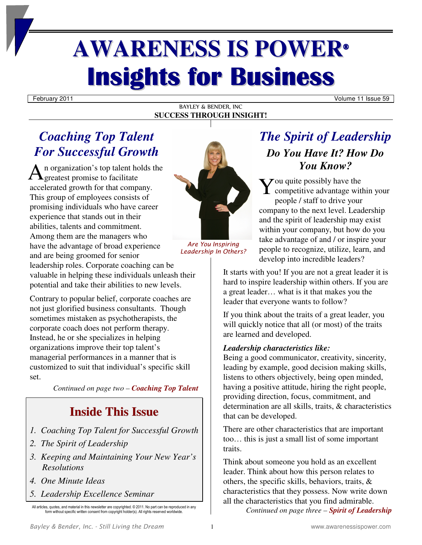# **AWARENESS IS POWER® Insights for Business**

February 2011 Volume 11 Issue 59

### BAYLEY & BENDER, INC **SUCCESS THROUGH INSIGHT!**

### *Coaching Top Talent For Successful Growth*

n organization's top talent holds the  $A$ <sup>n</sup> organization's top talent homogeneously to facilitate accelerated growth for that company. This group of employees consists of promising individuals who have career experience that stands out in their abilities, talents and commitment. Among them are the managers who have the advantage of broad experience and are being groomed for senior leadership roles. Corporate coaching can be



*Are You Inspiring Leadership In Others?*

### *The Spirit of Leadership Do You Have It? How Do You Know?*

 $\sum$  ou quite possibly have the  $\sum$  ou quite possibly have the<br>competitive advantage within your people / staff to drive your company to the next level. Leadership and the spirit of leadership may exist within your company, but how do you take advantage of and / or inspire your people to recognize, utilize, learn, and develop into incredible leaders?

It starts with you! If you are not a great leader it is hard to inspire leadership within others. If you are a great leader… what is it that makes you the leader that everyone wants to follow?

If you think about the traits of a great leader, you will quickly notice that all (or most) of the traits are learned and developed.

### *Leadership characteristics like:*

Being a good communicator, creativity, sincerity, leading by example, good decision making skills, listens to others objectively, being open minded, having a positive attitude, hiring the right people, providing direction, focus, commitment, and determination are all skills, traits, & characteristics that can be developed.

There are other characteristics that are important too… this is just a small list of some important traits.

Think about someone you hold as an excellent leader. Think about how this person relates to others, the specific skills, behaviors, traits, & characteristics that they possess. Now write down all the characteristics that you find admirable.

*Continued on page three – Spirit of Leadership* 

valuable in helping these individuals unleash their potential and take their abilities to new levels.

Contrary to popular belief, corporate coaches are not just glorified business consultants. Though sometimes mistaken as psychotherapists, the corporate coach does not perform therapy. Instead, he or she specializes in helping organizations improve their top talent's managerial performances in a manner that is customized to suit that individual's specific skill set.

*Continued on page two – Coaching Top Talent*

## **Inside This Issue**

- *1. Coaching Top Talent for Successful Growth*
- *2. The Spirit of Leadership*
- *3. Keeping and Maintaining Your New Year's Resolutions*
- *4. One Minute Ideas*
- *5. Leadership Excellence Seminar*

*Bayley & Bender, Inc. - Still Living the Dream* 1 www.awarenessispower.com

All articles, quotes, and material in this newsletter are copyrighted. © 2011. No part can be reproduced in any form without specific written consent from copyright holder(s). All rights reserved worldwide.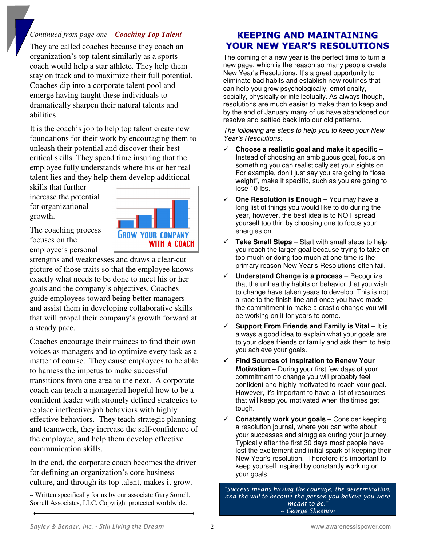### *Continued from page one – Coaching Top Talent*

They are called coaches because they coach an organization's top talent similarly as a sports coach would help a star athlete. They help them stay on track and to maximize their full potential. Coaches dip into a corporate talent pool and emerge having taught these individuals to dramatically sharpen their natural talents and abilities.

It is the coach's job to help top talent create new foundations for their work by encouraging them to unleash their potential and discover their best critical skills. They spend time insuring that the employee fully understands where his or her real talent lies and they help them develop additional

skills that further increase the potential for organizational growth.



The coaching process focuses on the employee's personal

strengths and weaknesses and draws a clear-cut picture of those traits so that the employee knows exactly what needs to be done to meet his or her goals and the company's objectives. Coaches guide employees toward being better managers and assist them in developing collaborative skills that will propel their company's growth forward at a steady pace.

Coaches encourage their trainees to find their own voices as managers and to optimize every task as a matter of course. They cause employees to be able to harness the impetus to make successful transitions from one area to the next. A corporate coach can teach a managerial hopeful how to be a confident leader with strongly defined strategies to replace ineffective job behaviors with highly effective behaviors. They teach strategic planning and teamwork, they increase the self-confidence of the employee, and help them develop effective communication skills.

In the end, the corporate coach becomes the driver for defining an organization's core business culture, and through its top talent, makes it grow.

~ Written specifically for us by our associate Gary Sorrell, Sorrell Associates, LLC. Copyright protected worldwide.

### **KEEPING AND MAINTAINING YOUR NEW YEAR'S RESOLUTIONS**

The coming of a new year is the perfect time to turn a new page, which is the reason so many people create New Year's Resolutions. It's a great opportunity to eliminate bad habits and establish new routines that can help you grow psychologically, emotionally, socially, physically or intellectually. As always though, resolutions are much easier to make than to keep and by the end of January many of us have abandoned our resolve and settled back into our old patterns.

The following are steps to help you to keep your New Year's Resolutions:

- **Choose a realistic goal and make it specific** Instead of choosing an ambiguous goal, focus on something you can realistically set your sights on. For example, don't just say you are going to "lose weight", make it specific, such as you are going to lose 10 lbs.
- **One Resolution is Enough** You may have a long list of things you would like to do during the year, however, the best idea is to NOT spread yourself too thin by choosing one to focus your energies on.
- **Take Small Steps** Start with small steps to help you reach the larger goal because trying to take on too much or doing too much at one time is the primary reason New Year's Resolutions often fail.
- **Understand Change is a process** Recognize that the unhealthy habits or behavior that you wish to change have taken years to develop. This is not a race to the finish line and once you have made the commitment to make a drastic change you will be working on it for years to come.
- **Support From Friends and Family is Vital** It is always a good idea to explain what your goals are to your close friends or family and ask them to help you achieve your goals.
- **Find Sources of Inspiration to Renew Your Motivation** – During your first few days of your commitment to change you will probably feel confident and highly motivated to reach your goal. However, it's important to have a list of resources that will keep you motivated when the times get tough.
- **Constantly work your goals**  Consider keeping a resolution journal, where you can write about your successes and struggles during your journey. Typically after the first 30 days most people have lost the excitement and initial spark of keeping their New Year's resolution. Therefore it's important to keep yourself inspired by constantly working on your goals.

*"Success means having the courage, the determination, and the will to become the person you believe you were meant to be." ~ George Sheehan*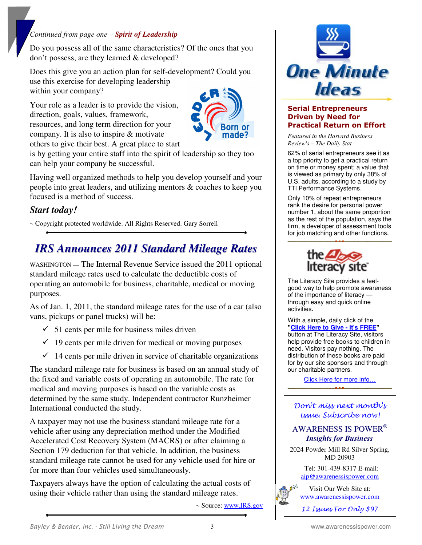### *Continued from page one – Spirit of Leadership*

Do you possess all of the same characteristics? Of the ones that you don't possess, are they learned & developed?

Does this give you an action plan for self-development? Could you use this exercise for developing leadership within your company?

Your role as a leader is to provide the vision, direction, goals, values, framework, resources, and long term direction for your company. It is also to inspire & motivate others to give their best. A great place to start



is by getting your entire staff into the spirit of leadership so they too can help your company be successful.

Having well organized methods to help you develop yourself and your people into great leaders, and utilizing mentors & coaches to keep you focused is a method of success.

### *Start today!*

~ Copyright protected worldwide. All Rights Reserved. Gary Sorrell

### *IRS Announces 2011 Standard Mileage Rates*

WASHINGTON — The Internal Revenue Service issued the 2011 optional standard mileage rates used to calculate the deductible costs of operating an automobile for business, charitable, medical or moving purposes.

As of Jan. 1, 2011, the standard mileage rates for the use of a car (also vans, pickups or panel trucks) will be:

- $\checkmark$  51 cents per mile for business miles driven
- $\checkmark$  19 cents per mile driven for medical or moving purposes
- $\checkmark$  14 cents per mile driven in service of charitable organizations

The standard mileage rate for business is based on an annual study of the fixed and variable costs of operating an automobile. The rate for medical and moving purposes is based on the variable costs as determined by the same study. Independent contractor Runzheimer International conducted the study.

A taxpayer may not use the business standard mileage rate for a vehicle after using any depreciation method under the Modified Accelerated Cost Recovery System (MACRS) or after claiming a Section 179 deduction for that vehicle. In addition, the business standard mileage rate cannot be used for any vehicle used for hire or for more than four vehicles used simultaneously.

Taxpayers always have the option of calculating the actual costs of using their vehicle rather than using the standard mileage rates.

~ Source: www.IRS.gov



#### **Serial Entrepreneurs Driven by Need for Practical Return on Effort**

*Featured in the Harvard Business Review's – The Daily Stat* 

62% of serial entrepreneurs see it as a top priority to get a practical return on time or money spent; a value that is viewed as primary by only 38% of U.S. adults, according to a study by TTI Performance Systems.

Only 10% of repeat entrepreneurs rank the desire for personal power number 1, about the same proportion as the rest of the population, says the firm, a developer of assessment tools for job matching and other functions.



The Literacy Site provides a feelgood way to help promote awareness of the importance of literacy through easy and quick online activities.

With a simple, daily click of the **"[Click Here to Give - it's FREE](http://www.theanimalrescuesite.com/clickToGive/home.faces?siteId=6&link=ctg_lit_home_from_lit_home_leftnav_logo)"** button at The Literacy Site, visitors help provide free books to children in need. Visitors pay nothing. The distribution of these books are paid for by our site sponsors and through our charitable partners.

[Click Here for more info…](http://www.theanimalrescuesite.com/clickToGive/home.faces?siteId=6&link=ctg_lit_home_from_lit_home_leftnav_logo)

### Don't miss next month's issue. Subscribe now!

### AWARENESS IS POWER® *Insights for Business*

2024 Powder Mill Rd Silver Spring, MD 20903

> Tel: 301-439-8317 E-mail: aip@awarenessispower.com

> Visit Our Web Site at: www.awarenessispower.com

12 Issues For Only \$97